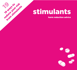

# **stimulants**

**harm reduction advice**

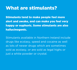# **What are stimulants?**

**Stimulants tend to make people feel more alert and awake, and can make you feel very happy or euphoric. Some stimulants are also hallucinogenic.**

Stimulants available in Northern Ireland include drugs like ecstasy, speed and cocaine as well as lots of newer drugs which are sometimes sold as ecstasy, or are sold as legal highs or just a white powder or crystal.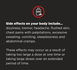

## **Side effects on your body include…** dizziness, tremor, headache, flushed skin, chest pains with palpitations, excessive sweating, vomiting, sleeplessness and abdominal cramps.

These effects may occur as a result of taking too large a dose at one time or taking large doses over an extended period of time.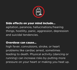

#### **Side effects on your mind include…**

agitation, paranoia, hallucinations/hearing things, hostility, panic, aggression, depression and suicidal tendencies.

#### **Overdose can cause…**

high fever, convulsions, stroke, or heart problems like cardiac arrest, sometimes leading to death. Physical activity (dancing or running) can increase risks by putting more pressure on your heart or making you heat up.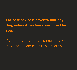**The best advice is never to take any drug unless it has been prescribed for you.**

If you are going to take stimulants, you may find the advice in this leaflet useful.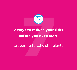

# **7 ways to reduce your risks before you even start:**

preparing to take stimulants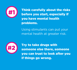

**#1 Think carefully about the risks before you start, especially if you have mental health problems.**

> Using stimulants can put your mental health at greater risk.



**#2 Try to take drugs with someone else there, someone you can trust to look after you if things go wrong.**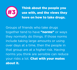

**Think about the people you use with, and the views they have on how to take drugs.**

Groups of friends who take drugs together tend to have **"norms"** or ways they normally do things. If those norms include taking large amounts or using over days at a time, then the people in that group are at a higher risk. Having norms you think are sensible can reduce your risks a lot. **Chat with your mates about it.**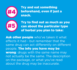

**Try and eat something beforehand, even if just a snack.**



**Try to find out as much as you can about the particular type of herbal you plan to take:**

**Ask other people** who've taken it what effects it had - but remember that the same drug can act differently on different people. **The info you have may be wrong**: drugs with the same name may not actually be the same. The description on the package, or what you've read about the drug may be inaccurate.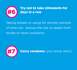

Taking breaks or using for shorter periods of time can reduce the risk of death from stroke or heart problems.



**Carry condoms** (you know why!)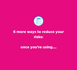

## **6 more ways to reduce your risks:**

**once you're using….**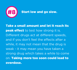

**Take a small amount and let it reach its peak effect** to test how strong it is. Different drugs act at different speeds, and if you don't feel the effects after a while, it may not mean that the drug is weak - it may mean you have taken a strong drug which takes a while to come on. **Taking more too soon could lead to overdose.**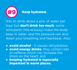

Aim to drink about a pint of water per hour but **don't drink too much**: some stimulants (like ecstasy) make the body keep in water, and the pressure can shut down your breathing and heartbeat. Also:

**• avoid alcohol** - it causes dehydration;

- **avoid energy drinks**: they contain lots of caffeine which can increase the strain on the heart; and
- **keeping hydrated is especially important in warm places.**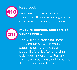

#### **Keep cool.**

Overheating can stop you breathing. If you're feeling warm, open a window or go outside.



## **If you're snorting, take care of your nostrils…**

This will help stop your nose bunging up so when you've stopped using you can get some sleep. Before & after snorting, dab your fingers in water and sniff it up your nose until you feel it run down your throat.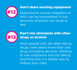

#### **Don't share snorting equipment**

blood borne viruses (hepatitis or HIV) can be transmitted in tiny amounts of blood, too small to see.



#### **Don't mix stimulants with other drugs or alcohol.**

Most people who die after taking drugs have taken more than one drug (including alcohol). Sticking to one substance and not taking anything else is a simple way to reduce your risks.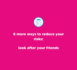

## **6 more ways to reduce your risks:**

## **look after your friends**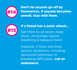

**Don't let anyone go off by themselves. If anyone becomes unwell, stay with them.**



#### **If a friend has a panic attack…**

Get them to sit down, head down, encourage regular breathing & reassure them.

However, if there are more serious symptoms, including delusional behaviour or breathing difficulties, **call an ambulance**.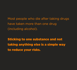Most people who die after taking drugs have taken more than one drug (including alcohol).

**Sticking to one substance and not taking anything else is a simple way to reduce your risks.**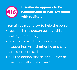

**If someone appears to be hallucinating or has lost touch with reality…**

…remain calm, and try to help the person:

- approach the person quietly while calling their name;
- ask the person to tell you what is happening. Ask whether he or she is afraid or confused;
- tell the person that he or she may be having a hallucination and….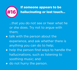

**If someone appears to be #16 hallucinating or lost touch…**

…that you do not see or hear what he or she does. Try not to argue with them;

- talk with the person about the experience, and ask whether there is anything you can do to help;
- help the person find ways to handle the hallucinations, such as listening to soothing music; and
- do not hurry the person.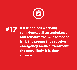

**# If a friend has worrying symptoms, call an ambulance and reassure them. If someone is ill, the sooner they receive emergency medical treatment, the more likely it is they'll survive. 17**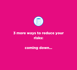

## **3 more ways to reduce your risks:**

**coming down…**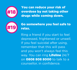

**You can reduce your risk of overdose by not taking other drugs while coming down.**



## **Go somewhere you feel safe to relax.**

Ring a friend if you start to feel depressed, frightened or unwell. If you feel suicidal after using, remember that this will pass and you won't always feel this way. You can ring **Lifeline** 24/7 on **0808 808 8000** to talk to a counsellor, in confidence.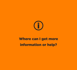

## **Where can I get more information or help?**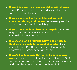- **If you think you may have a problem with drugs…** your GP can provide help and advice and refer you to other relevant services.
- **If you/someone has immediate serious health concerns relating to drug use…** emergency services should be contacted immediately.
- **If you/someone is in distress or despair...** you can ring Lifeline at 0808 808 8000 to talk to a counsellor in confidence.
- **If you've taken a drug with nasty side effects & think others should be warned about it…** please contact the PHA's Drug & Alcohol Monitoring & Information System[: damis@hscni.net](mailto:damis@hscni.net)
- **If you'd like to reduce the harms from your drug use…** you can go to a "Low Threshold Service". Staff will not judge you for taking drugs, and will help you find ways to reduce your risks of harm >>>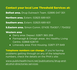**Contact your local Low Threshold Services at:**

**Belfast area.** Drug Outreach Team. 02895 047 301

**Northern area.** Extern. 02825 689 601

**Southern area.** Extern. 02825 689 601

**S.Eastern area.** Simon Comm. 07435 754307 / 754302

#### **Western area**

- Derry area: Depaul. 02871 365 259
- Fermanagh & Omagh areas: Arc Healthy Living Centre. 02868 628741
- Limavady area: First Housing. 02871 371 849

**Telephone numbers can change.** If you're having problems getting through on any of the telephone numbers, check the details on the PHA's site:

www.publichealth.hscni.net/publications/drug-andalcohol-directories-services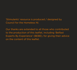'Stimulants' resource is produced / designed by Council for the Homeless NI.

Our thanks are extended to all those who contributed to the production of this leaflet, including 'Belfast Experts By Experience' (BEBE), for giving their advice on the content of this leaflet.